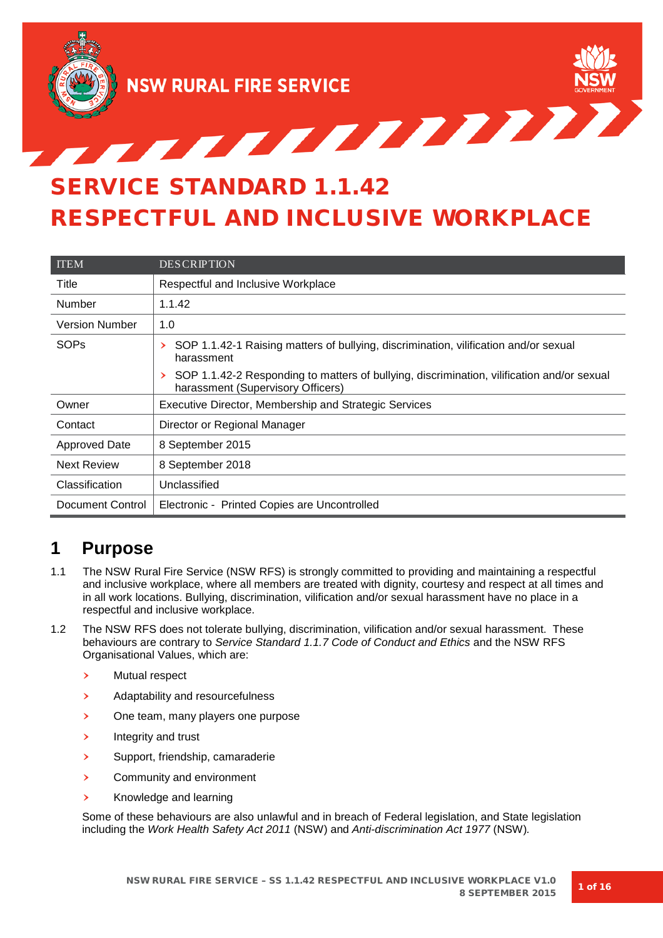

TERRETTET SERVICE STANDARD 1.1.42 RESPECTFUL AND INCLUSIVE WORKPLACE

| <b>ITEM</b>           | <b>DESCRIPTION</b>                                                                                                              |  |
|-----------------------|---------------------------------------------------------------------------------------------------------------------------------|--|
| Title                 | Respectful and Inclusive Workplace                                                                                              |  |
| Number                | 1.1.42                                                                                                                          |  |
| <b>Version Number</b> | 1.0                                                                                                                             |  |
| <b>SOPs</b>           | SOP 1.1.42-1 Raising matters of bullying, discrimination, vilification and/or sexual<br>≻<br>harassment                         |  |
|                       | SOP 1.1.42-2 Responding to matters of bullying, discrimination, vilification and/or sexual<br>harassment (Supervisory Officers) |  |
| Owner                 | Executive Director, Membership and Strategic Services                                                                           |  |
| Contact               | Director or Regional Manager                                                                                                    |  |
| <b>Approved Date</b>  | 8 September 2015                                                                                                                |  |
| <b>Next Review</b>    | 8 September 2018                                                                                                                |  |
| Classification        | Unclassified                                                                                                                    |  |
| Document Control      | Electronic - Printed Copies are Uncontrolled                                                                                    |  |

# **1 Purpose**

- 1.1 The NSW Rural Fire Service (NSW RFS) is strongly committed to providing and maintaining a respectful and inclusive workplace, where all members are treated with dignity, courtesy and respect at all times and in all work locations. Bullying, discrimination, vilification and/or sexual harassment have no place in a respectful and inclusive workplace.
- 1.2 The NSW RFS does not tolerate bullying, discrimination, vilification and/or sexual harassment. These behaviours are contrary to *Service Standard 1.1.7 Code of Conduct and Ethics* and the NSW RFS Organisational Values, which are:
	- › Mutual respect
	- › Adaptability and resourcefulness
	- › One team, many players one purpose
	- › Integrity and trust
	- › Support, friendship, camaraderie
	- › Community and environment
	- › Knowledge and learning

Some of these behaviours are also unlawful and in breach of Federal legislation, and State legislation including the *Work Health Safety Act 2011* (NSW) and *Anti-discrimination Act 1977* (NSW)*.*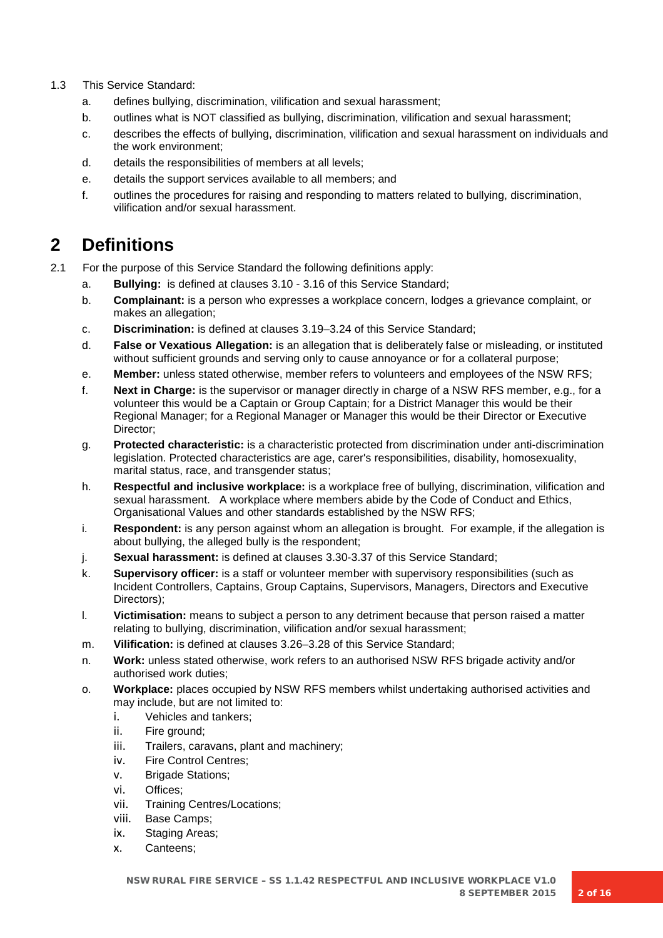- 1.3 This Service Standard:
	- a. defines bullying, discrimination, vilification and sexual harassment;
	- b. outlines what is NOT classified as bullying, discrimination, vilification and sexual harassment;
	- c. describes the effects of bullying, discrimination, vilification and sexual harassment on individuals and the work environment;
	- d. details the responsibilities of members at all levels;
	- e. details the support services available to all members; and
	- f. outlines the procedures for raising and responding to matters related to bullying, discrimination, vilification and/or sexual harassment.

# **2 Definitions**

- 2.1 For the purpose of this Service Standard the following definitions apply:
	- a. **Bullying:** is defined at clauses 3.10 3.16 of this Service Standard;
	- b. **Complainant:** is a person who expresses a workplace concern, lodges a grievance complaint, or makes an allegation;
	- c. **Discrimination:** is defined at clauses 3.19–3.24 of this Service Standard;
	- d. **False or Vexatious Allegation:** is an allegation that is deliberately false or misleading, or instituted without sufficient grounds and serving only to cause annoyance or for a collateral purpose;
	- e. **Member:** unless stated otherwise, member refers to volunteers and employees of the NSW RFS;
	- f. **Next in Charge:** is the supervisor or manager directly in charge of a NSW RFS member, e.g., for a volunteer this would be a Captain or Group Captain; for a District Manager this would be their Regional Manager; for a Regional Manager or Manager this would be their Director or Executive Director;
	- g. **Protected characteristic:** is a characteristic protected from discrimination under anti-discrimination legislation. Protected characteristics are age, carer's responsibilities, disability, homosexuality, marital status, race, and transgender status;
	- h. **Respectful and inclusive workplace:** is a workplace free of bullying, discrimination, vilification and sexual harassment. A workplace where members abide by the Code of Conduct and Ethics, Organisational Values and other standards established by the NSW RFS;
	- i. **Respondent:** is any person against whom an allegation is brought. For example, if the allegation is about bullying, the alleged bully is the respondent;
	- j. **Sexual harassment:** is defined at clauses 3.30-3.37 of this Service Standard;
	- k. **Supervisory officer:** is a staff or volunteer member with supervisory responsibilities (such as Incident Controllers, Captains, Group Captains, Supervisors, Managers, Directors and Executive Directors);
	- l. **Victimisation:** means to subject a person to any detriment because that person raised a matter relating to bullying, discrimination, vilification and/or sexual harassment;
	- m. **Vilification:** is defined at clauses 3.26–3.28 of this Service Standard;
	- n. **Work:** unless stated otherwise, work refers to an authorised NSW RFS brigade activity and/or authorised work duties;
	- o. **Workplace:** places occupied by NSW RFS members whilst undertaking authorised activities and may include, but are not limited to:
		- i. Vehicles and tankers;
		- ii. Fire ground;
		- iii. Trailers, caravans, plant and machinery;
		- iv. Fire Control Centres;
		- v. Brigade Stations;
		- vi. Offices;
		- vii. Training Centres/Locations;
		- viii. Base Camps;
		- ix. Staging Areas;
		- x. Canteens;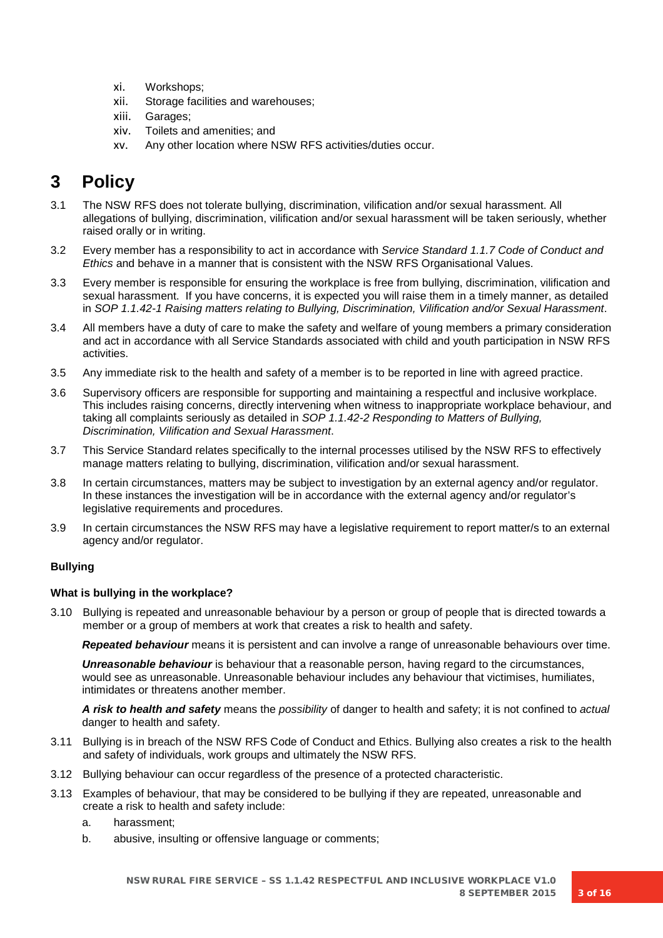- xi. Workshops;
- xii. Storage facilities and warehouses;
- xiii. Garages;
- xiv. Toilets and amenities; and
- xv. Any other location where NSW RFS activities/duties occur.

# **3 Policy**

- 3.1 The NSW RFS does not tolerate bullying, discrimination, vilification and/or sexual harassment. All allegations of bullying, discrimination, vilification and/or sexual harassment will be taken seriously, whether raised orally or in writing.
- 3.2 Every member has a responsibility to act in accordance with *Service Standard 1.1.7 Code of Conduct and Ethics* and behave in a manner that is consistent with the NSW RFS Organisational Values.
- 3.3 Every member is responsible for ensuring the workplace is free from bullying, discrimination, vilification and sexual harassment. If you have concerns, it is expected you will raise them in a timely manner, as detailed in *SOP 1.1.42-1 Raising matters relating to Bullying, Discrimination, Vilification and/or Sexual Harassment*.
- 3.4 All members have a duty of care to make the safety and welfare of young members a primary consideration and act in accordance with all Service Standards associated with child and youth participation in NSW RFS activities.
- 3.5 Any immediate risk to the health and safety of a member is to be reported in line with agreed practice.
- 3.6 Supervisory officers are responsible for supporting and maintaining a respectful and inclusive workplace. This includes raising concerns, directly intervening when witness to inappropriate workplace behaviour, and taking all complaints seriously as detailed in *SOP 1.1.42-2 Responding to Matters of Bullying, Discrimination, Vilification and Sexual Harassment*.
- 3.7 This Service Standard relates specifically to the internal processes utilised by the NSW RFS to effectively manage matters relating to bullying, discrimination, vilification and/or sexual harassment.
- 3.8 In certain circumstances, matters may be subject to investigation by an external agency and/or regulator. In these instances the investigation will be in accordance with the external agency and/or regulator's legislative requirements and procedures.
- 3.9 In certain circumstances the NSW RFS may have a legislative requirement to report matter/s to an external agency and/or regulator.

## **Bullying**

## **What is bullying in the workplace?**

3.10 Bullying is repeated and unreasonable behaviour by a person or group of people that is directed towards a member or a group of members at work that creates a risk to health and safety.

*Repeated behaviour* means it is persistent and can involve a range of unreasonable behaviours over time.

*Unreasonable behaviour* is behaviour that a reasonable person, having regard to the circumstances, would see as unreasonable. Unreasonable behaviour includes any behaviour that victimises, humiliates, intimidates or threatens another member.

*A risk to health and safety* means the *possibility* of danger to health and safety; it is not confined to *actual* danger to health and safety.

- 3.11 Bullying is in breach of the NSW RFS Code of Conduct and Ethics. Bullying also creates a risk to the health and safety of individuals, work groups and ultimately the NSW RFS.
- 3.12 Bullying behaviour can occur regardless of the presence of a protected characteristic.
- 3.13 Examples of behaviour, that may be considered to be bullying if they are repeated, unreasonable and create a risk to health and safety include:
	- a. harassment;
	- b. abusive, insulting or offensive language or comments;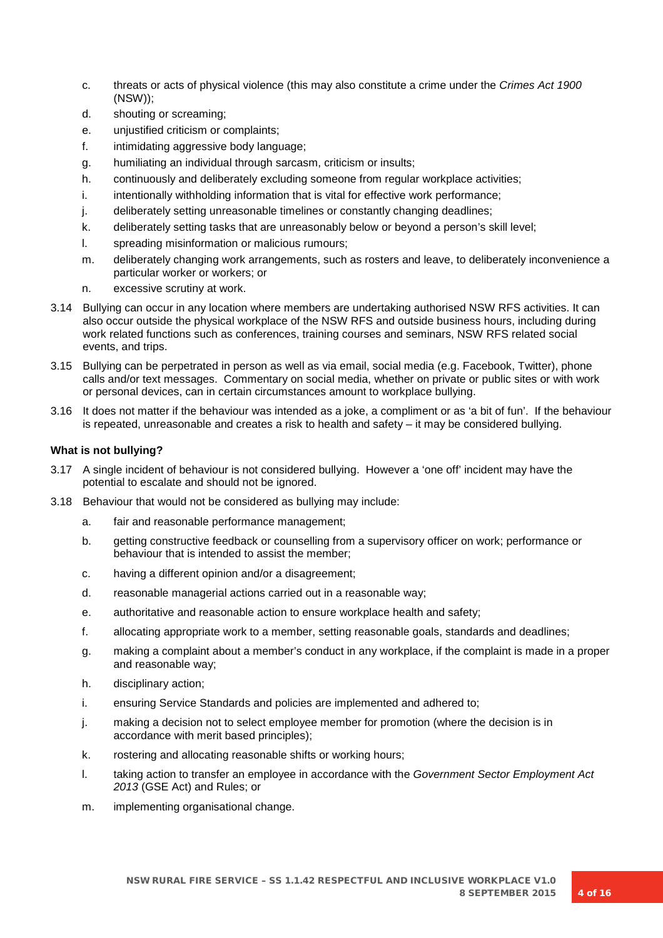- c. threats or acts of physical violence (this may also constitute a crime under the *Crimes Act 1900*  (NSW));
- d. shouting or screaming;
- e. unjustified criticism or complaints;
- f. intimidating aggressive body language;
- g. humiliating an individual through sarcasm, criticism or insults;
- h. continuously and deliberately excluding someone from regular workplace activities;
- i. intentionally withholding information that is vital for effective work performance;
- j. deliberately setting unreasonable timelines or constantly changing deadlines;
- k. deliberately setting tasks that are unreasonably below or beyond a person's skill level;
- l. spreading misinformation or malicious rumours;
- m. deliberately changing work arrangements, such as rosters and leave, to deliberately inconvenience a particular worker or workers; or
- n. excessive scrutiny at work.
- 3.14 Bullying can occur in any location where members are undertaking authorised NSW RFS activities. It can also occur outside the physical workplace of the NSW RFS and outside business hours, including during work related functions such as conferences, training courses and seminars, NSW RFS related social events, and trips.
- 3.15 Bullying can be perpetrated in person as well as via email, social media (e.g. Facebook, Twitter), phone calls and/or text messages. Commentary on social media, whether on private or public sites or with work or personal devices, can in certain circumstances amount to workplace bullying.
- 3.16 It does not matter if the behaviour was intended as a joke, a compliment or as 'a bit of fun'. If the behaviour is repeated, unreasonable and creates a risk to health and safety – it may be considered bullying.

### **What is not bullying?**

- 3.17 A single incident of behaviour is not considered bullying. However a 'one off' incident may have the potential to escalate and should not be ignored.
- 3.18 Behaviour that would not be considered as bullying may include:
	- a. fair and reasonable performance management;
	- b. getting constructive feedback or counselling from a supervisory officer on work; performance or behaviour that is intended to assist the member;
	- c. having a different opinion and/or a disagreement;
	- d. reasonable managerial actions carried out in a reasonable way;
	- e. authoritative and reasonable action to ensure workplace health and safety;
	- f. allocating appropriate work to a member, setting reasonable goals, standards and deadlines;
	- g. making a complaint about a member's conduct in any workplace, if the complaint is made in a proper and reasonable way;
	- h. disciplinary action;
	- i. ensuring Service Standards and policies are implemented and adhered to;
	- j. making a decision not to select employee member for promotion (where the decision is in accordance with merit based principles);
	- k. rostering and allocating reasonable shifts or working hours;
	- l. taking action to transfer an employee in accordance with the *Government Sector Employment Act 2013* (GSE Act) and Rules; or
	- m. implementing organisational change.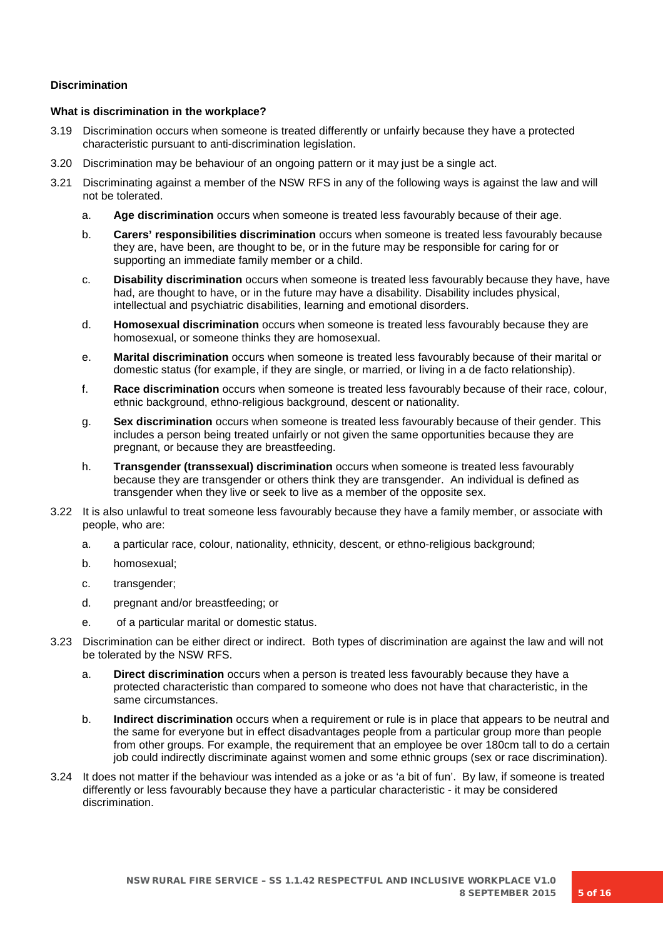### **Discrimination**

### **What is discrimination in the workplace?**

- 3.19 Discrimination occurs when someone is treated differently or unfairly because they have a protected characteristic pursuant to anti-discrimination legislation.
- 3.20 Discrimination may be behaviour of an ongoing pattern or it may just be a single act.
- 3.21 Discriminating against a member of the NSW RFS in any of the following ways is against the law and will not be tolerated.
	- a. **Age discrimination** occurs when someone is treated less favourably because of their age.
	- b. **Carers' responsibilities discrimination** occurs when someone is treated less favourably because they are, have been, are thought to be, or in the future may be responsible for caring for or supporting an immediate family member or a child.
	- c. **Disability discrimination** occurs when someone is treated less favourably because they have, have had, are thought to have, or in the future may have a disability. Disability includes physical, intellectual and psychiatric disabilities, learning and emotional disorders.
	- d. **Homosexual discrimination** occurs when someone is treated less favourably because they are homosexual, or someone thinks they are homosexual.
	- e. **Marital discrimination** occurs when someone is treated less favourably because of their marital or domestic status (for example, if they are single, or married, or living in a de facto relationship).
	- f. **Race discrimination** occurs when someone is treated less favourably because of their race, colour, ethnic background, ethno-religious background, descent or nationality.
	- g. **Sex discrimination** occurs when someone is treated less favourably because of their gender. This includes a person being treated unfairly or not given the same opportunities because they are pregnant, or because they are breastfeeding.
	- h. **Transgender (transsexual) discrimination** occurs when someone is treated less favourably because they are transgender or others think they are transgender. An individual is defined as transgender when they live or seek to live as a member of the opposite sex.
- 3.22 It is also unlawful to treat someone less favourably because they have a family member, or associate with people, who are:
	- a. a particular race, colour, nationality, ethnicity, descent, or ethno-religious background;
	- b. homosexual;
	- c. transgender;
	- d. pregnant and/or breastfeeding; or
	- e. of a particular marital or domestic status.
- 3.23 Discrimination can be either direct or indirect. Both types of discrimination are against the law and will not be tolerated by the NSW RFS.
	- a. **Direct discrimination** occurs when a person is treated less favourably because they have a protected characteristic than compared to someone who does not have that characteristic, in the same circumstances.
	- b. **Indirect discrimination** occurs when a requirement or rule is in place that appears to be neutral and the same for everyone but in effect disadvantages people from a particular group more than people from other groups. For example, the requirement that an employee be over 180cm tall to do a certain job could indirectly discriminate against women and some ethnic groups (sex or race discrimination).
- 3.24 It does not matter if the behaviour was intended as a joke or as 'a bit of fun'. By law, if someone is treated differently or less favourably because they have a particular characteristic - it may be considered discrimination.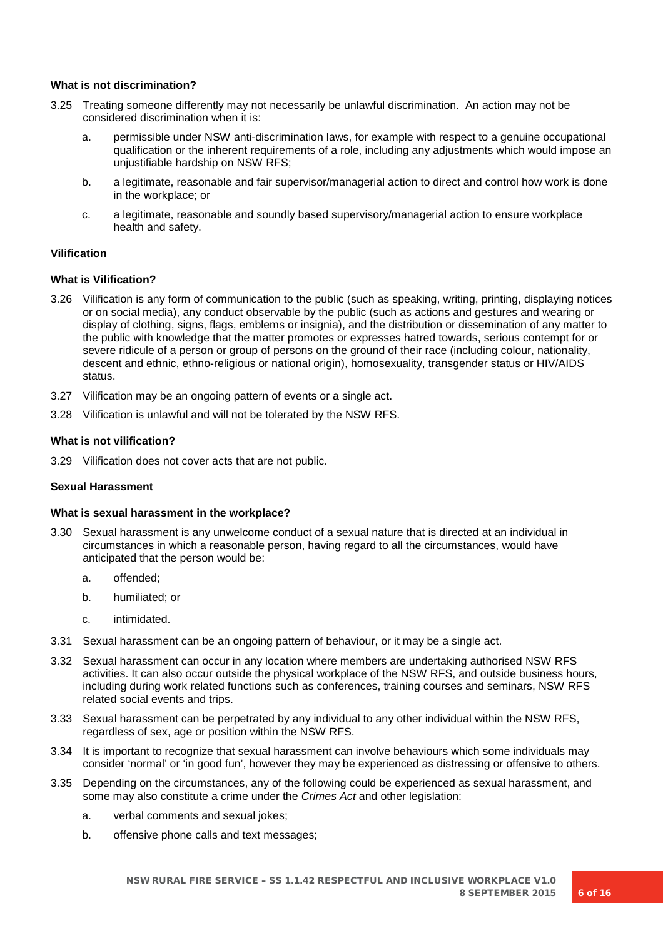### **What is not discrimination?**

- 3.25 Treating someone differently may not necessarily be unlawful discrimination. An action may not be considered discrimination when it is:
	- a. permissible under NSW anti-discrimination laws, for example with respect to a genuine occupational qualification or the inherent requirements of a role, including any adjustments which would impose an unjustifiable hardship on NSW RFS;
	- b. a legitimate, reasonable and fair supervisor/managerial action to direct and control how work is done in the workplace; or
	- c. a legitimate, reasonable and soundly based supervisory/managerial action to ensure workplace health and safety.

### **Vilification**

### **What is Vilification?**

- 3.26 Vilification is any form of communication to the public (such as speaking, writing, printing, displaying notices or on social media), any conduct observable by the public (such as actions and gestures and wearing or display of clothing, signs, flags, emblems or insignia), and the distribution or dissemination of any matter to the public with knowledge that the matter promotes or expresses hatred towards, serious contempt for or severe ridicule of a person or group of persons on the ground of their race (including colour, nationality, descent and ethnic, ethno-religious or national origin), homosexuality, transgender status or HIV/AIDS status.
- 3.27 Vilification may be an ongoing pattern of events or a single act.
- 3.28 Vilification is unlawful and will not be tolerated by the NSW RFS.

### **What is not vilification?**

3.29 Vilification does not cover acts that are not public.

### **Sexual Harassment**

### **What is sexual harassment in the workplace?**

- 3.30 Sexual harassment is any unwelcome conduct of a sexual nature that is directed at an individual in circumstances in which a reasonable person, having regard to all the circumstances, would have anticipated that the person would be:
	- a. offended;
	- b. humiliated; or
	- c. intimidated.
- 3.31 Sexual harassment can be an ongoing pattern of behaviour, or it may be a single act.
- 3.32 Sexual harassment can occur in any location where members are undertaking authorised NSW RFS activities. It can also occur outside the physical workplace of the NSW RFS, and outside business hours, including during work related functions such as conferences, training courses and seminars, NSW RFS related social events and trips.
- 3.33 Sexual harassment can be perpetrated by any individual to any other individual within the NSW RFS, regardless of sex, age or position within the NSW RFS.
- 3.34 It is important to recognize that sexual harassment can involve behaviours which some individuals may consider 'normal' or 'in good fun', however they may be experienced as distressing or offensive to others.
- 3.35 Depending on the circumstances, any of the following could be experienced as sexual harassment, and some may also constitute a crime under the *Crimes Act* and other legislation:
	- a. verbal comments and sexual jokes;
	- b. offensive phone calls and text messages;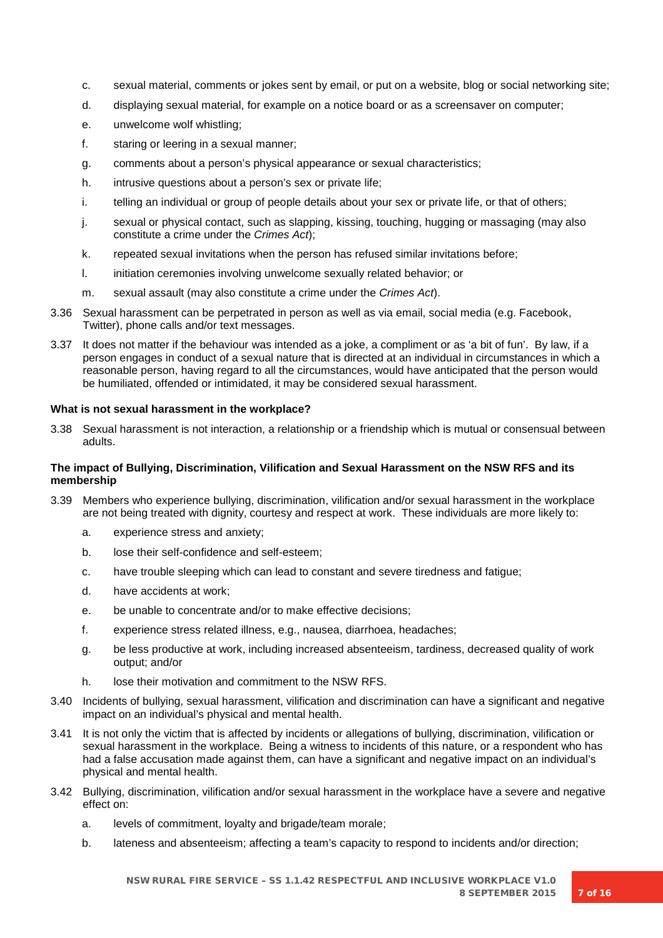- c. sexual material, comments or jokes sent by email, or put on a website, blog or social networking site;
- d. displaying sexual material, for example on a notice board or as a screensaver on computer;
- e. unwelcome wolf whistling;
- f. staring or leering in a sexual manner;
- g. comments about a person's physical appearance or sexual characteristics;
- h. intrusive questions about a person's sex or private life;
- i. telling an individual or group of people details about your sex or private life, or that of others;
- j. sexual or physical contact, such as slapping, kissing, touching, hugging or massaging (may also constitute a crime under the *Crimes Act*);
- k. repeated sexual invitations when the person has refused similar invitations before;
- l. initiation ceremonies involving unwelcome sexually related behavior; or
- m. sexual assault (may also constitute a crime under the *Crimes Act*).
- 3.36 Sexual harassment can be perpetrated in person as well as via email, social media (e.g. Facebook, Twitter), phone calls and/or text messages.
- 3.37 It does not matter if the behaviour was intended as a joke, a compliment or as 'a bit of fun'. By law, if a person engages in conduct of a sexual nature that is directed at an individual in circumstances in which a reasonable person, having regard to all the circumstances, would have anticipated that the person would be humiliated, offended or intimidated, it may be considered sexual harassment.

### **What is not sexual harassment in the workplace?**

3.38 Sexual harassment is not interaction, a relationship or a friendship which is mutual or consensual between adults.

### **The impact of Bullying, Discrimination, Vilification and Sexual Harassment on the NSW RFS and its membership**

- 3.39 Members who experience bullying, discrimination, vilification and/or sexual harassment in the workplace are not being treated with dignity, courtesy and respect at work. These individuals are more likely to:
	- a. experience stress and anxiety;
	- b. lose their self-confidence and self-esteem;
	- c. have trouble sleeping which can lead to constant and severe tiredness and fatigue;
	- d. have accidents at work;
	- e. be unable to concentrate and/or to make effective decisions;
	- f. experience stress related illness, e.g., nausea, diarrhoea, headaches;
	- g. be less productive at work, including increased absenteeism, tardiness, decreased quality of work output; and/or
	- h. lose their motivation and commitment to the NSW RFS.
- 3.40 Incidents of bullying, sexual harassment, vilification and discrimination can have a significant and negative impact on an individual's physical and mental health.
- 3.41 It is not only the victim that is affected by incidents or allegations of bullying, discrimination, vilification or sexual harassment in the workplace. Being a witness to incidents of this nature, or a respondent who has had a false accusation made against them, can have a significant and negative impact on an individual's physical and mental health.
- 3.42 Bullying, discrimination, vilification and/or sexual harassment in the workplace have a severe and negative effect on:
	- a. levels of commitment, loyalty and brigade/team morale;
	- b. lateness and absenteeism; affecting a team's capacity to respond to incidents and/or direction;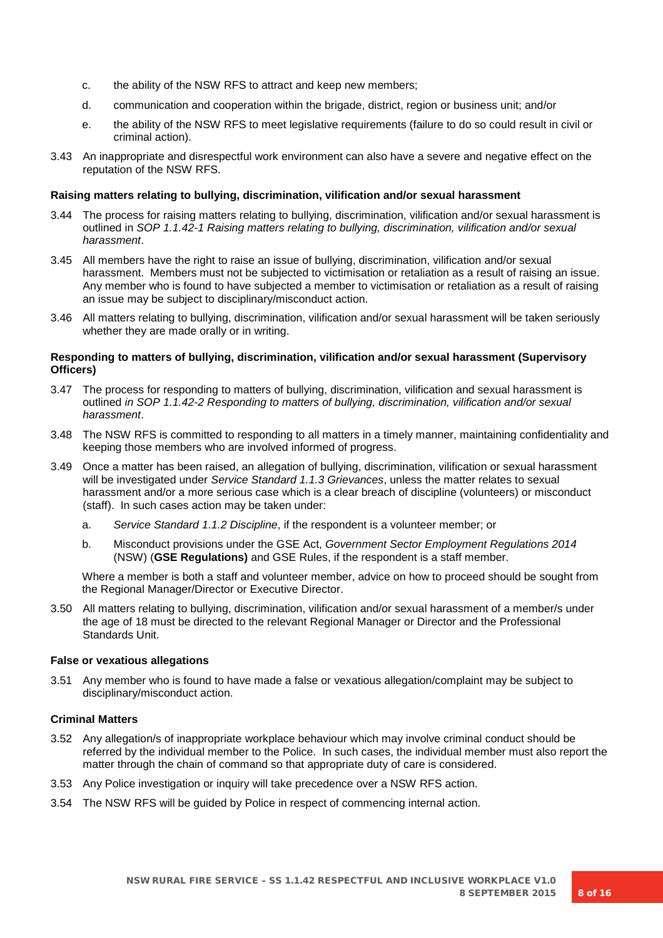- c. the ability of the NSW RFS to attract and keep new members;
- d. communication and cooperation within the brigade, district, region or business unit; and/or
- e. the ability of the NSW RFS to meet legislative requirements (failure to do so could result in civil or criminal action).
- 3.43 An inappropriate and disrespectful work environment can also have a severe and negative effect on the reputation of the NSW RFS.

#### **Raising matters relating to bullying, discrimination, vilification and/or sexual harassment**

- 3.44 The process for raising matters relating to bullying, discrimination, vilification and/or sexual harassment is outlined in *SOP 1.1.42-1 Raising matters relating to bullying, discrimination, vilification and/or sexual harassment*.
- 3.45 All members have the right to raise an issue of bullying, discrimination, vilification and/or sexual harassment. Members must not be subjected to victimisation or retaliation as a result of raising an issue. Any member who is found to have subjected a member to victimisation or retaliation as a result of raising an issue may be subject to disciplinary/misconduct action.
- 3.46 All matters relating to bullying, discrimination, vilification and/or sexual harassment will be taken seriously whether they are made orally or in writing.

### **Responding to matters of bullying, discrimination, vilification and/or sexual harassment (Supervisory Officers)**

- 3.47 The process for responding to matters of bullying, discrimination, vilification and sexual harassment is outlined *in SOP 1.1.42-2 Responding to matters of bullying, discrimination, vilification and/or sexual harassment*.
- 3.48 The NSW RFS is committed to responding to all matters in a timely manner, maintaining confidentiality and keeping those members who are involved informed of progress.
- 3.49 Once a matter has been raised, an allegation of bullying, discrimination, vilification or sexual harassment will be investigated under *Service Standard 1.1.3 Grievances*, unless the matter relates to sexual harassment and/or a more serious case which is a clear breach of discipline (volunteers) or misconduct (staff). In such cases action may be taken under:
	- a. *Service Standard 1.1.2 Discipline*, if the respondent is a volunteer member; or
	- b. Misconduct provisions under the GSE Act, *Government Sector Employment Regulations 2014*  (NSW) (**GSE Regulations)** and GSE Rules, if the respondent is a staff member.

Where a member is both a staff and volunteer member, advice on how to proceed should be sought from the Regional Manager/Director or Executive Director.

3.50 All matters relating to bullying, discrimination, vilification and/or sexual harassment of a member/s under the age of 18 must be directed to the relevant Regional Manager or Director and the Professional Standards Unit.

#### **False or vexatious allegations**

3.51 Any member who is found to have made a false or vexatious allegation/complaint may be subject to disciplinary/misconduct action.

#### **Criminal Matters**

- 3.52 Any allegation/s of inappropriate workplace behaviour which may involve criminal conduct should be referred by the individual member to the Police. In such cases, the individual member must also report the matter through the chain of command so that appropriate duty of care is considered.
- 3.53 Any Police investigation or inquiry will take precedence over a NSW RFS action.
- 3.54 The NSW RFS will be guided by Police in respect of commencing internal action.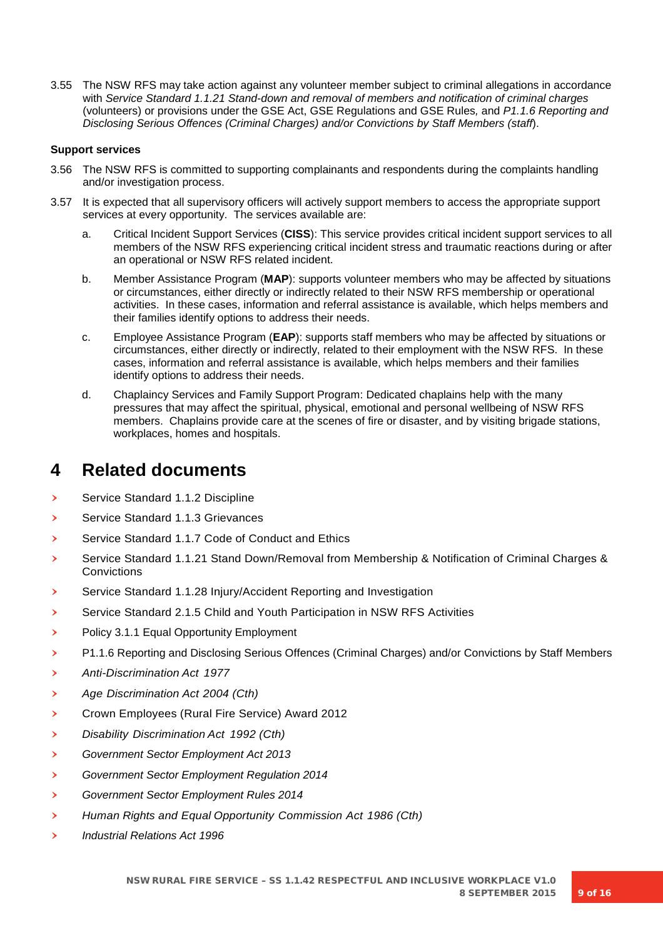3.55 The NSW RFS may take action against any volunteer member subject to criminal allegations in accordance with *Service Standard 1.1.21 Stand-down and removal of members and notification of criminal charges* (volunteers) or provisions under the GSE Act, GSE Regulations and GSE Rules*,* and *P1.1.6 Reporting and Disclosing Serious Offences (Criminal Charges) and/or Convictions by Staff Members (staff*).

### **Support services**

- 3.56 The NSW RFS is committed to supporting complainants and respondents during the complaints handling and/or investigation process.
- 3.57 It is expected that all supervisory officers will actively support members to access the appropriate support services at every opportunity. The services available are:
	- a. Critical Incident Support Services (**CISS**): This service provides critical incident support services to all members of the NSW RFS experiencing critical incident stress and traumatic reactions during or after an operational or NSW RFS related incident.
	- b. Member Assistance Program (**MAP**): supports volunteer members who may be affected by situations or circumstances, either directly or indirectly related to their NSW RFS membership or operational activities. In these cases, information and referral assistance is available, which helps members and their families identify options to address their needs.
	- c. Employee Assistance Program (**EAP**): supports staff members who may be affected by situations or circumstances, either directly or indirectly, related to their employment with the NSW RFS. In these cases, information and referral assistance is available, which helps members and their families identify options to address their needs.
	- d. Chaplaincy Services and Family Support Program: Dedicated chaplains help with the many pressures that may affect the spiritual, physical, emotional and personal wellbeing of NSW RFS members. Chaplains provide care at the scenes of fire or disaster, and by visiting brigade stations, workplaces, homes and hospitals.

# **4 Related documents**

- Service Standard 1.1.2 Discipline
- › Service Standard 1.1.3 Grievances
- Service Standard 1.1.7 Code of Conduct and Ethics
- › Service Standard 1.1.21 Stand Down/Removal from Membership & Notification of Criminal Charges & **Convictions**
- › Service Standard 1.1.28 Injury/Accident Reporting and Investigation
- › Service Standard 2.1.5 Child and Youth Participation in NSW RFS Activities
- › Policy 3.1.1 Equal Opportunity Employment
- › P1.1.6 Reporting and Disclosing Serious Offences (Criminal Charges) and/or Convictions by Staff Members
- › *Anti-Discrimination Act <sup>1977</sup>*
- › *Age Discrimination Act 2004 (Cth)*
- › Crown Employees (Rural Fire Service) Award 2012
- › *Disability Discrimination Act 1992 (Cth)*
- › *Government Sector Employment Act 2013*
- › *Government Sector Employment Regulation 2014*
- › *Government Sector Employment Rules 2014*
- › *Human Rights and Equal Opportunity Commission Act 1986 (Cth)*
- › *Industrial Relations Act 1996*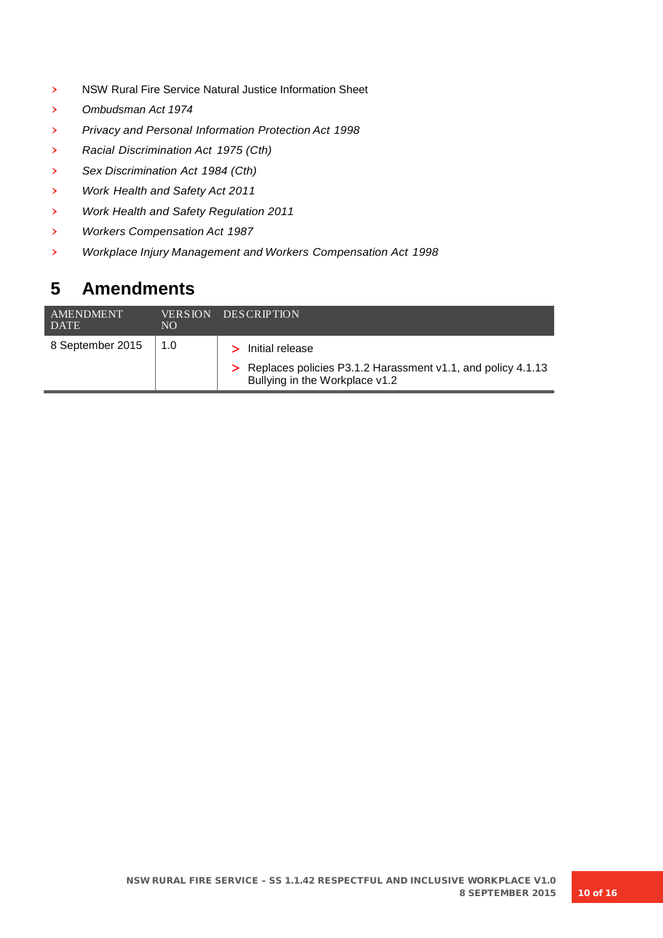- › NSW Rural Fire Service Natural Justice Information Sheet
- › *Ombudsman Act 1974*
- › *Privacy and Personal Information Protection Act <sup>1998</sup>*
- › *Racial Discrimination Act 1975 (Cth)*
- › *Sex Discrimination Act 1984 (Cth)*
- › *Work Health and Safety Act <sup>2011</sup>*
- › *Work Health and Safety Regulation 2011*
- › *Workers Compensation Act <sup>1987</sup>*
- › *Workplace Injury Management and Workers Compensation Act <sup>1998</sup>*

# **5 Amendments**

| <b>AMENDMENT</b><br><b>DATE</b> | <b>VERSION</b><br>NO | <b>DESCRIPTION</b>                                                                                                   |
|---------------------------------|----------------------|----------------------------------------------------------------------------------------------------------------------|
| 8 September 2015                | 1.0                  | > Initial release<br>> Replaces policies P3.1.2 Harassment v1.1, and policy 4.1.13<br>Bullying in the Workplace v1.2 |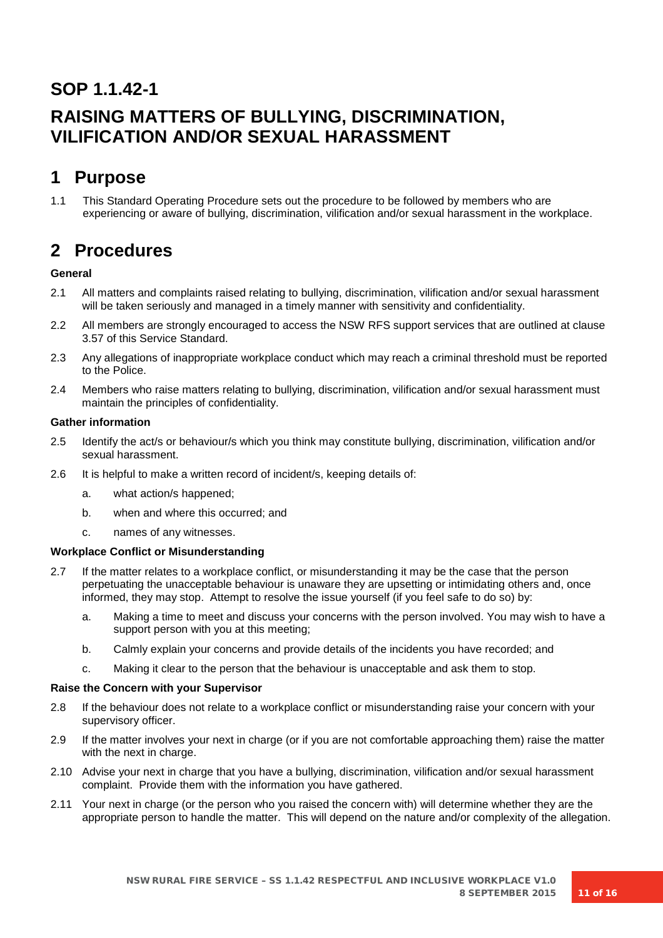# **SOP 1.1.42-1**

# **RAISING MATTERS OF BULLYING, DISCRIMINATION, VILIFICATION AND/OR SEXUAL HARASSMENT**

# **1 Purpose**

1.1 This Standard Operating Procedure sets out the procedure to be followed by members who are experiencing or aware of bullying, discrimination, vilification and/or sexual harassment in the workplace.

# **2 Procedures**

## **General**

- 2.1 All matters and complaints raised relating to bullying, discrimination, vilification and/or sexual harassment will be taken seriously and managed in a timely manner with sensitivity and confidentiality.
- 2.2 All members are strongly encouraged to access the NSW RFS support services that are outlined at clause 3.57 of this Service Standard.
- 2.3 Any allegations of inappropriate workplace conduct which may reach a criminal threshold must be reported to the Police.
- 2.4 Members who raise matters relating to bullying, discrimination, vilification and/or sexual harassment must maintain the principles of confidentiality.

## **Gather information**

- 2.5 Identify the act/s or behaviour/s which you think may constitute bullying, discrimination, vilification and/or sexual harassment.
- 2.6 It is helpful to make a written record of incident/s, keeping details of:
	- a. what action/s happened;
	- b. when and where this occurred; and
	- c. names of any witnesses.

## **Workplace Conflict or Misunderstanding**

- 2.7 If the matter relates to a workplace conflict, or misunderstanding it may be the case that the person perpetuating the unacceptable behaviour is unaware they are upsetting or intimidating others and, once informed, they may stop. Attempt to resolve the issue yourself (if you feel safe to do so) by:
	- a. Making a time to meet and discuss your concerns with the person involved. You may wish to have a support person with you at this meeting;
	- b. Calmly explain your concerns and provide details of the incidents you have recorded; and
	- c. Making it clear to the person that the behaviour is unacceptable and ask them to stop.

## **Raise the Concern with your Supervisor**

- 2.8 If the behaviour does not relate to a workplace conflict or misunderstanding raise your concern with your supervisory officer.
- 2.9 If the matter involves your next in charge (or if you are not comfortable approaching them) raise the matter with the next in charge.
- 2.10 Advise your next in charge that you have a bullying, discrimination, vilification and/or sexual harassment complaint. Provide them with the information you have gathered.
- 2.11 Your next in charge (or the person who you raised the concern with) will determine whether they are the appropriate person to handle the matter. This will depend on the nature and/or complexity of the allegation.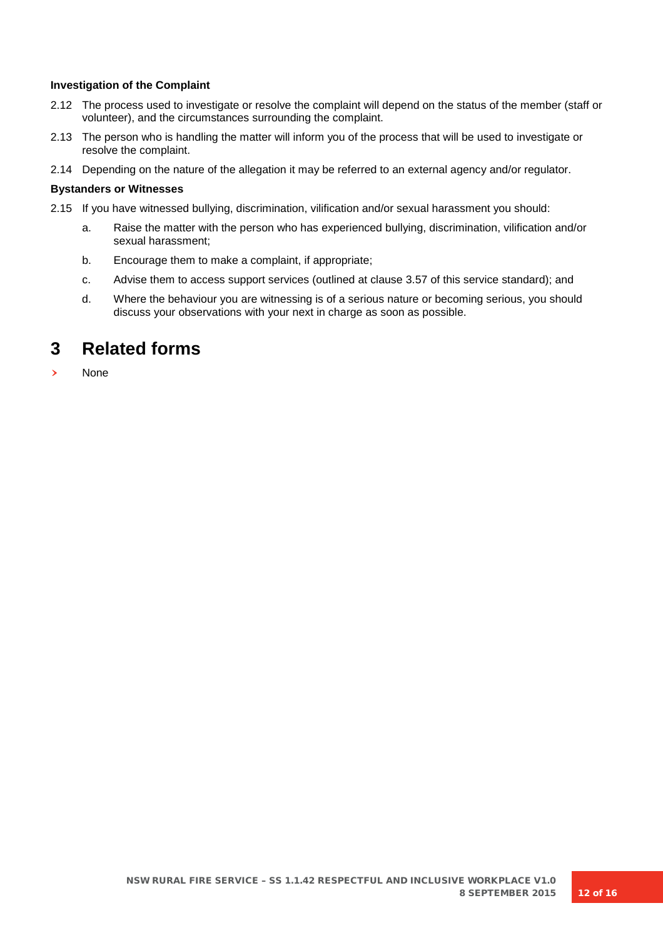### **Investigation of the Complaint**

- 2.12 The process used to investigate or resolve the complaint will depend on the status of the member (staff or volunteer), and the circumstances surrounding the complaint.
- 2.13 The person who is handling the matter will inform you of the process that will be used to investigate or resolve the complaint.
- 2.14 Depending on the nature of the allegation it may be referred to an external agency and/or regulator.

### **Bystanders or Witnesses**

- 2.15 If you have witnessed bullying, discrimination, vilification and/or sexual harassment you should:
	- a. Raise the matter with the person who has experienced bullying, discrimination, vilification and/or sexual harassment;
	- b. Encourage them to make a complaint, if appropriate;
	- c. Advise them to access support services (outlined at clause 3.57 of this service standard); and
	- d. Where the behaviour you are witnessing is of a serious nature or becoming serious, you should discuss your observations with your next in charge as soon as possible.

## **3 Related forms**

**None**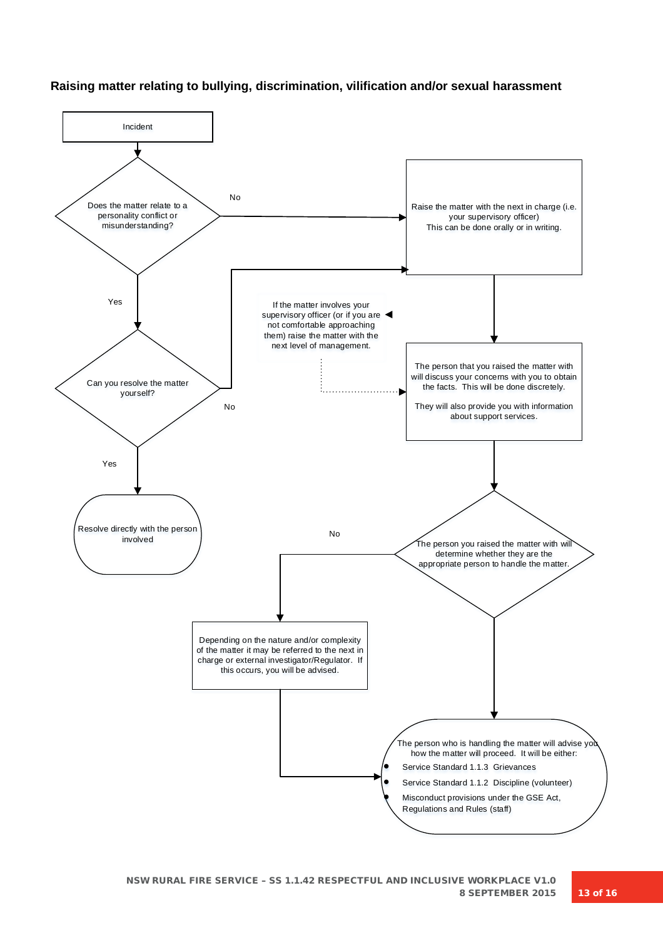## **Raising matter relating to bullying, discrimination, vilification and/or sexual harassment**



NSW RURAL FIRE SERVICE – SS 1.1.42 RESPECTFUL AND INCLUSIVE WORKPLACE V1.0 8 SEPTEMBER 2015 13 of 16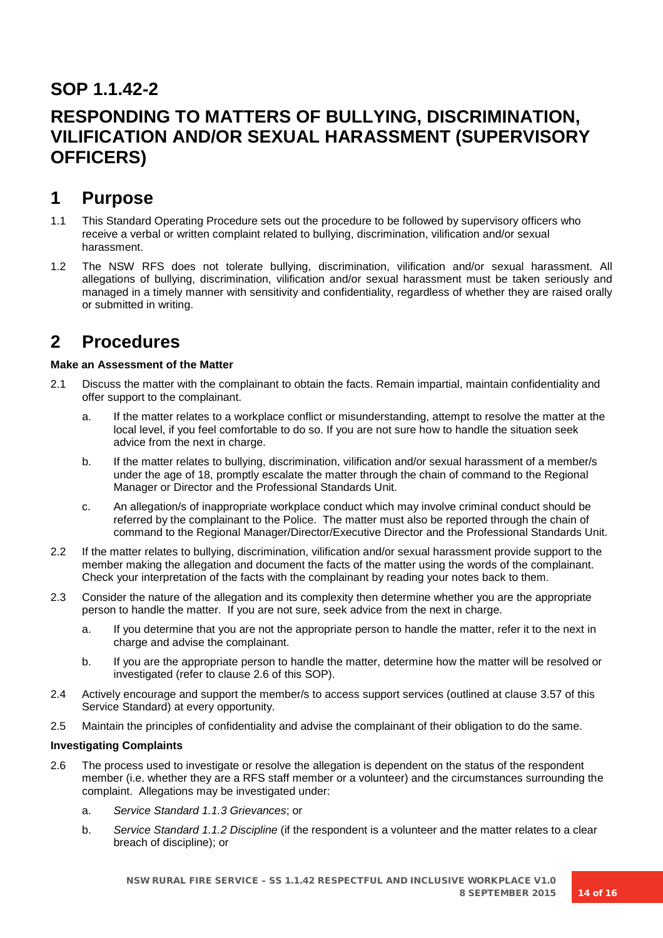# **SOP 1.1.42-2**

# **RESPONDING TO MATTERS OF BULLYING, DISCRIMINATION, VILIFICATION AND/OR SEXUAL HARASSMENT (SUPERVISORY OFFICERS)**

# **1 Purpose**

- 1.1 This Standard Operating Procedure sets out the procedure to be followed by supervisory officers who receive a verbal or written complaint related to bullying, discrimination, vilification and/or sexual harassment.
- 1.2 The NSW RFS does not tolerate bullying, discrimination, vilification and/or sexual harassment. All allegations of bullying, discrimination, vilification and/or sexual harassment must be taken seriously and managed in a timely manner with sensitivity and confidentiality, regardless of whether they are raised orally or submitted in writing.

# **2 Procedures**

## **Make an Assessment of the Matter**

- 2.1 Discuss the matter with the complainant to obtain the facts. Remain impartial, maintain confidentiality and offer support to the complainant.
	- a. If the matter relates to a workplace conflict or misunderstanding, attempt to resolve the matter at the local level, if you feel comfortable to do so. If you are not sure how to handle the situation seek advice from the next in charge.
	- b. If the matter relates to bullying, discrimination, vilification and/or sexual harassment of a member/s under the age of 18, promptly escalate the matter through the chain of command to the Regional Manager or Director and the Professional Standards Unit.
	- c. An allegation/s of inappropriate workplace conduct which may involve criminal conduct should be referred by the complainant to the Police. The matter must also be reported through the chain of command to the Regional Manager/Director/Executive Director and the Professional Standards Unit.
- 2.2 If the matter relates to bullying, discrimination, vilification and/or sexual harassment provide support to the member making the allegation and document the facts of the matter using the words of the complainant. Check your interpretation of the facts with the complainant by reading your notes back to them.
- 2.3 Consider the nature of the allegation and its complexity then determine whether you are the appropriate person to handle the matter. If you are not sure, seek advice from the next in charge.
	- a. If you determine that you are not the appropriate person to handle the matter, refer it to the next in charge and advise the complainant.
	- b. If you are the appropriate person to handle the matter, determine how the matter will be resolved or investigated (refer to clause 2.6 of this SOP).
- 2.4 Actively encourage and support the member/s to access support services (outlined at clause 3.57 of this Service Standard) at every opportunity.
- 2.5 Maintain the principles of confidentiality and advise the complainant of their obligation to do the same.

## **Investigating Complaints**

- 2.6 The process used to investigate or resolve the allegation is dependent on the status of the respondent member (i.e. whether they are a RFS staff member or a volunteer) and the circumstances surrounding the complaint. Allegations may be investigated under:
	- a. *Service Standard 1.1.3 Grievances*; or
	- b. *Service Standard 1.1.2 Discipline* (if the respondent is a volunteer and the matter relates to a clear breach of discipline); or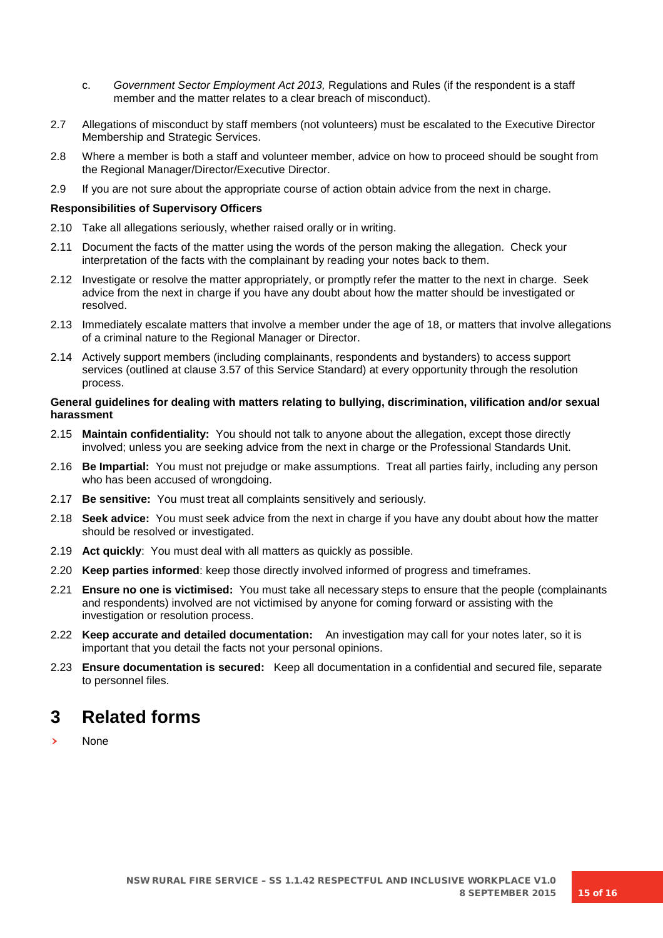- c. *Government Sector Employment Act 2013,* Regulations and Rules (if the respondent is a staff member and the matter relates to a clear breach of misconduct).
- 2.7 Allegations of misconduct by staff members (not volunteers) must be escalated to the Executive Director Membership and Strategic Services.
- 2.8 Where a member is both a staff and volunteer member, advice on how to proceed should be sought from the Regional Manager/Director/Executive Director.
- 2.9 If you are not sure about the appropriate course of action obtain advice from the next in charge.

### **Responsibilities of Supervisory Officers**

- 2.10 Take all allegations seriously, whether raised orally or in writing.
- 2.11 Document the facts of the matter using the words of the person making the allegation. Check your interpretation of the facts with the complainant by reading your notes back to them.
- 2.12 Investigate or resolve the matter appropriately, or promptly refer the matter to the next in charge. Seek advice from the next in charge if you have any doubt about how the matter should be investigated or resolved.
- 2.13 Immediately escalate matters that involve a member under the age of 18, or matters that involve allegations of a criminal nature to the Regional Manager or Director.
- 2.14 Actively support members (including complainants, respondents and bystanders) to access support services (outlined at clause 3.57 of this Service Standard) at every opportunity through the resolution process.

### **General guidelines for dealing with matters relating to bullying, discrimination, vilification and/or sexual harassment**

- 2.15 **Maintain confidentiality:** You should not talk to anyone about the allegation, except those directly involved; unless you are seeking advice from the next in charge or the Professional Standards Unit.
- 2.16 **Be Impartial:** You must not prejudge or make assumptions. Treat all parties fairly, including any person who has been accused of wrongdoing.
- 2.17 **Be sensitive:** You must treat all complaints sensitively and seriously.
- 2.18 **Seek advice:** You must seek advice from the next in charge if you have any doubt about how the matter should be resolved or investigated.
- 2.19 **Act quickly**: You must deal with all matters as quickly as possible.
- 2.20 **Keep parties informed**: keep those directly involved informed of progress and timeframes.
- 2.21 **Ensure no one is victimised:** You must take all necessary steps to ensure that the people (complainants and respondents) involved are not victimised by anyone for coming forward or assisting with the investigation or resolution process.
- 2.22 **Keep accurate and detailed documentation:** An investigation may call for your notes later, so it is important that you detail the facts not your personal opinions.
- 2.23 **Ensure documentation is secured:** Keep all documentation in a confidential and secured file, separate to personnel files.

# **3 Related forms**

**None**